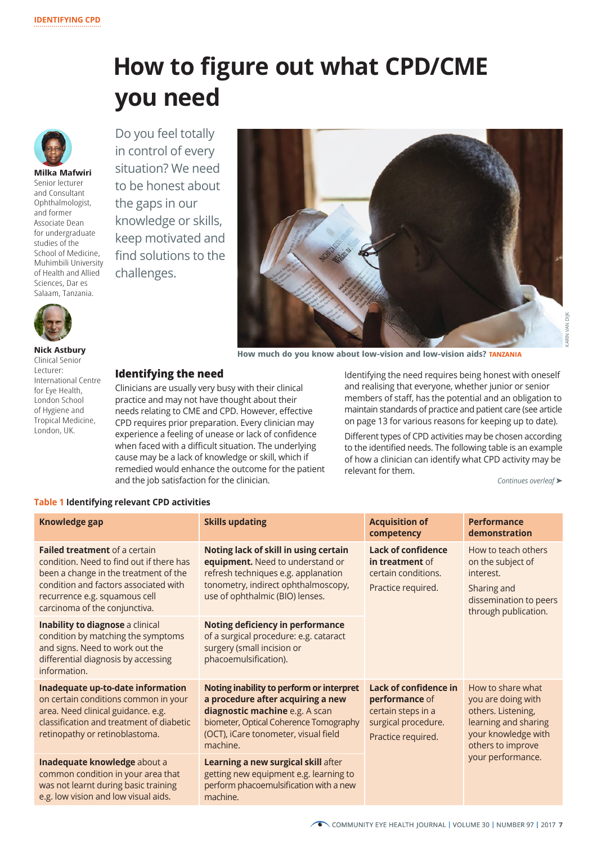# **How to figure out what CPD/CME you need**



**Milka Mafwiri**  Senior lecturer and Consultant Ophthalmologist, and former Associate Dean for undergraduate studies of the School of Medicine, Muhimbili University of Health and Allied Sciences, Dar es Salaam, Tanzania.





**How much do you know about low-vision and low-vision aids? TANZANIA**

**Nick Astbury** Clinical Senior Lecturer: International Centre for Eye Health, London School of Hygiene and Tropical Medicine, London, UK.

## **Identifying the need**

Clinicians are usually very busy with their clinical practice and may not have thought about their needs relating to CME and CPD. However, effective CPD requires prior preparation. Every clinician may experience a feeling of unease or lack of confidence when faced with a difficult situation. The underlying cause may be a lack of knowledge or skill, which if remedied would enhance the outcome for the patient and the job satisfaction for the clinician.

Identifying the need requires being honest with oneself and realising that everyone, whether junior or senior members of staff, has the potential and an obligation to maintain standards of practice and patient care (see article on page 13 for various reasons for keeping up to date).

Different types of CPD activities may be chosen according to the identified needs. The following table is an example of how a clinician can identify what CPD activity may be relevant for them.

*Continues overleaf* ➤

### **Table 1 Identifying relevant CPD activities**

| Knowledge gap                                                                                                                                                                                                                        | <b>Skills updating</b>                                                                                                                                                                                                                                                                                                                 | <b>Acquisition of</b><br>competency                                                                        | <b>Performance</b><br>demonstration                                                                                                                    |
|--------------------------------------------------------------------------------------------------------------------------------------------------------------------------------------------------------------------------------------|----------------------------------------------------------------------------------------------------------------------------------------------------------------------------------------------------------------------------------------------------------------------------------------------------------------------------------------|------------------------------------------------------------------------------------------------------------|--------------------------------------------------------------------------------------------------------------------------------------------------------|
| <b>Failed treatment of a certain</b><br>condition. Need to find out if there has<br>been a change in the treatment of the<br>condition and factors associated with<br>recurrence e.g. squamous cell<br>carcinoma of the conjunctiva. | Noting lack of skill in using certain<br>equipment. Need to understand or<br>refresh techniques e.g. applanation<br>tonometry, indirect ophthalmoscopy,<br>use of ophthalmic (BIO) lenses.<br><b>Noting deficiency in performance</b><br>of a surgical procedure: e.g. cataract<br>surgery (small incision or<br>phacoemulsification). | <b>Lack of confidence</b><br>in treatment of<br>certain conditions.<br>Practice required.                  | How to teach others<br>on the subject of<br>interest.<br>Sharing and<br>dissemination to peers<br>through publication.                                 |
| Inability to diagnose a clinical<br>condition by matching the symptoms<br>and signs. Need to work out the<br>differential diagnosis by accessing<br>information.                                                                     |                                                                                                                                                                                                                                                                                                                                        |                                                                                                            |                                                                                                                                                        |
| Inadequate up-to-date information<br>on certain conditions common in your<br>area. Need clinical guidance. e.g.<br>classification and treatment of diabetic<br>retinopathy or retinoblastoma.                                        | Noting inability to perform or interpret<br>a procedure after acquiring a new<br>diagnostic machine e.g. A scan<br>biometer, Optical Coherence Tomography<br>(OCT), iCare tonometer, visual field<br>machine.                                                                                                                          | Lack of confidence in<br>performance of<br>certain steps in a<br>surgical procedure.<br>Practice required. | How to share what<br>you are doing with<br>others. Listening,<br>learning and sharing<br>your knowledge with<br>others to improve<br>your performance. |
| Inadequate knowledge about a<br>common condition in your area that<br>was not learnt during basic training<br>e.g. low vision and low visual aids.                                                                                   | Learning a new surgical skill after<br>getting new equipment e.g. learning to<br>perform phacoemulsification with a new<br>machine.                                                                                                                                                                                                    |                                                                                                            |                                                                                                                                                        |